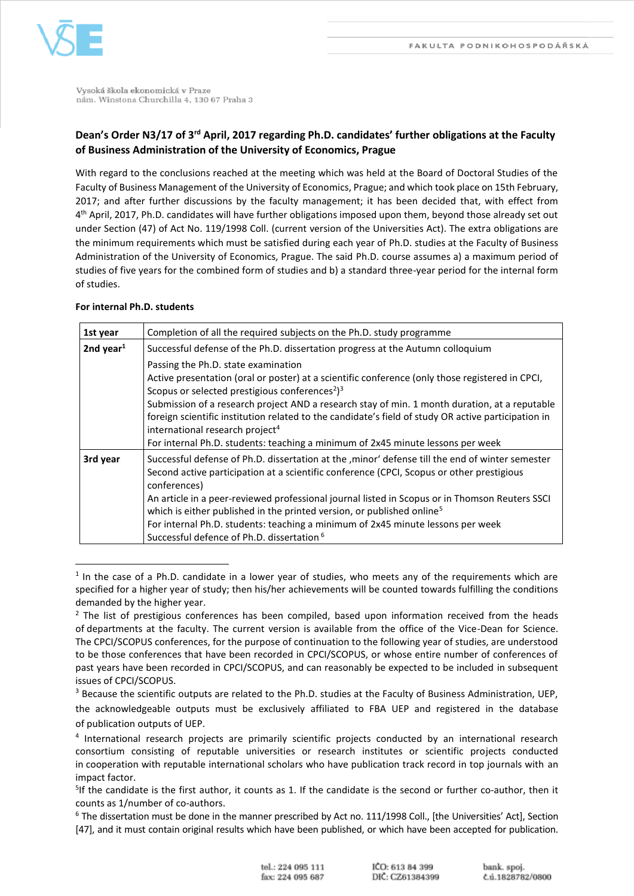

Vysoká škola ekonomická v Praze nám. Winstona Churchilla 4, 130 67 Praha 3

# **Dean's Order N3/17 of 3rd April, 2017 regarding Ph.D. candidates' further obligations at the Faculty of Business Administration of the University of Economics, Prague**

With regard to the conclusions reached at the meeting which was held at the Board of Doctoral Studies of the Faculty of Business Management of the University of Economics, Prague; and which took place on 15th February, 2017; and after further discussions by the faculty management; it has been decided that, with effect from 4<sup>th</sup> April, 2017, Ph.D. candidates will have further obligations imposed upon them, beyond those already set out under Section (47) of Act No. 119/1998 Coll. (current version of the Universities Act). The extra obligations are the minimum requirements which must be satisfied during each year of Ph.D. studies at the Faculty of Business Administration of the University of Economics, Prague. The said Ph.D. course assumes a) a maximum period of studies of five years for the combined form of studies and b) a standard three-year period for the internal form of studies.

## **For internal Ph.D. students**

 $\overline{a}$ 

| 1st year     | Completion of all the required subjects on the Ph.D. study programme                                                                                                                                                                                                                                                                                                                                                                                                                                                                                       |
|--------------|------------------------------------------------------------------------------------------------------------------------------------------------------------------------------------------------------------------------------------------------------------------------------------------------------------------------------------------------------------------------------------------------------------------------------------------------------------------------------------------------------------------------------------------------------------|
| 2nd year $1$ | Successful defense of the Ph.D. dissertation progress at the Autumn colloquium                                                                                                                                                                                                                                                                                                                                                                                                                                                                             |
|              | Passing the Ph.D. state examination<br>Active presentation (oral or poster) at a scientific conference (only those registered in CPCI,<br>Scopus or selected prestigious conferences <sup>2</sup> ) <sup>3</sup><br>Submission of a research project AND a research stay of min. 1 month duration, at a reputable<br>foreign scientific institution related to the candidate's field of study OR active participation in<br>international research project <sup>4</sup><br>For internal Ph.D. students: teaching a minimum of 2x45 minute lessons per week |
| 3rd year     | Successful defense of Ph.D. dissertation at the , minor' defense till the end of winter semester<br>Second active participation at a scientific conference (CPCI, Scopus or other prestigious<br>conferences)<br>An article in a peer-reviewed professional journal listed in Scopus or in Thomson Reuters SSCI<br>which is either published in the printed version, or published online <sup>5</sup><br>For internal Ph.D. students: teaching a minimum of 2x45 minute lessons per week<br>Successful defence of Ph.D. dissertation <sup>6</sup>          |

<sup>&</sup>lt;sup>1</sup> In the case of a Ph.D. candidate in a lower year of studies, who meets any of the requirements which are specified for a higher year of study; then his/her achievements will be counted towards fulfilling the conditions demanded by the higher year.

 $<sup>2</sup>$  The list of prestigious conferences has been compiled, based upon information received from the heads</sup> of departments at the faculty. The current version is available from the office of the Vice-Dean for Science. The CPCI/SCOPUS conferences, for the purpose of continuation to the following year of studies, are understood to be those conferences that have been recorded in CPCI/SCOPUS, or whose entire number of conferences of past years have been recorded in CPCI/SCOPUS, and can reasonably be expected to be included in subsequent issues of CPCI/SCOPUS.

<sup>&</sup>lt;sup>3</sup> Because the scientific outputs are related to the Ph.D. studies at the Faculty of Business Administration, UEP, the acknowledgeable outputs must be exclusively affiliated to FBA UEP and registered in the database of publication outputs of UEP.

<sup>&</sup>lt;sup>4</sup> International research projects are primarily scientific projects conducted by an international research consortium consisting of reputable universities or research institutes or scientific projects conducted in cooperation with reputable international scholars who have publication track record in top journals with an impact factor.

<sup>&</sup>lt;sup>5</sup>If the candidate is the first author, it counts as 1. If the candidate is the second or further co-author, then it counts as 1/number of co-authors.

<sup>&</sup>lt;sup>6</sup> The dissertation must be done in the manner prescribed by Act no. 111/1998 Coll., [the Universities' Act], Section [47], and it must contain original results which have been published, or which have been accepted for publication.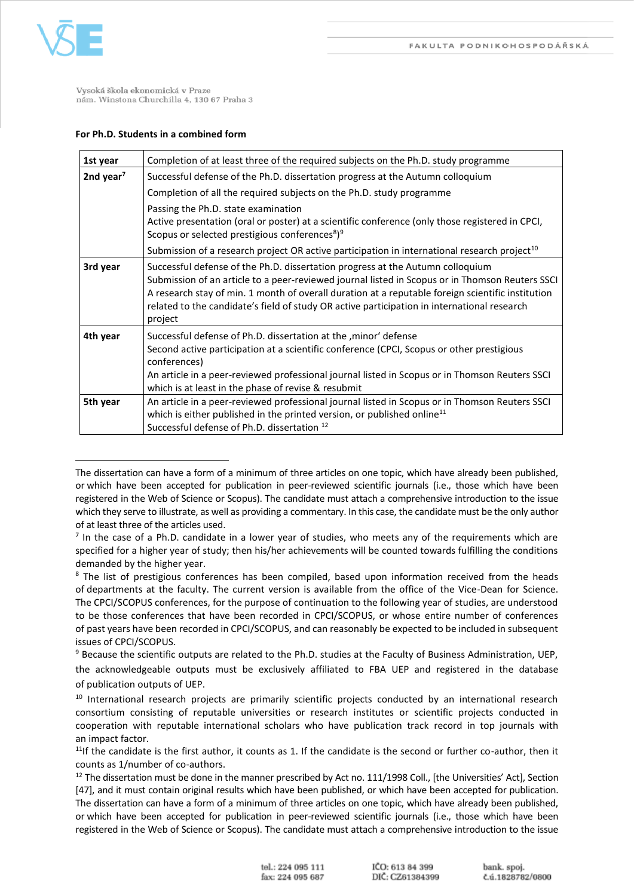

 $\overline{\phantom{a}}$ 

Vysoká škola ekonomická v Praze nám. Winstona Churchilla 4, 130 67 Praha 3

# **For Ph.D. Students in a combined form**

| 1st year     | Completion of at least three of the required subjects on the Ph.D. study programme                                                                                                                                                                                                                                                                                                               |
|--------------|--------------------------------------------------------------------------------------------------------------------------------------------------------------------------------------------------------------------------------------------------------------------------------------------------------------------------------------------------------------------------------------------------|
| 2nd year $7$ | Successful defense of the Ph.D. dissertation progress at the Autumn colloquium                                                                                                                                                                                                                                                                                                                   |
|              | Completion of all the required subjects on the Ph.D. study programme                                                                                                                                                                                                                                                                                                                             |
|              | Passing the Ph.D. state examination<br>Active presentation (oral or poster) at a scientific conference (only those registered in CPCI,<br>Scopus or selected prestigious conferences <sup>8</sup> ) <sup>9</sup>                                                                                                                                                                                 |
|              | Submission of a research project OR active participation in international research project <sup>10</sup>                                                                                                                                                                                                                                                                                         |
| 3rd year     | Successful defense of the Ph.D. dissertation progress at the Autumn colloquium<br>Submission of an article to a peer-reviewed journal listed in Scopus or in Thomson Reuters SSCI<br>A research stay of min. 1 month of overall duration at a reputable foreign scientific institution<br>related to the candidate's field of study OR active participation in international research<br>project |
| 4th year     | Successful defense of Ph.D. dissertation at the , minor' defense<br>Second active participation at a scientific conference (CPCI, Scopus or other prestigious<br>conferences)<br>An article in a peer-reviewed professional journal listed in Scopus or in Thomson Reuters SSCI<br>which is at least in the phase of revise & resubmit                                                           |
| 5th year     | An article in a peer-reviewed professional journal listed in Scopus or in Thomson Reuters SSCI<br>which is either published in the printed version, or published online <sup>11</sup><br>Successful defense of Ph.D. dissertation <sup>12</sup>                                                                                                                                                  |

The dissertation can have a form of a minimum of three articles on one topic, which have already been published, or which have been accepted for publication in peer-reviewed scientific journals (i.e., those which have been registered in the Web of Science or Scopus). The candidate must attach a comprehensive introduction to the issue which they serve to illustrate, as well as providing a commentary. In this case, the candidate must be the only author of at least three of the articles used.

 $<sup>7</sup>$  In the case of a Ph.D. candidate in a lower year of studies, who meets any of the requirements which are</sup> specified for a higher year of study; then his/her achievements will be counted towards fulfilling the conditions demanded by the higher year.

<sup>&</sup>lt;sup>8</sup> The list of prestigious conferences has been compiled, based upon information received from the heads of departments at the faculty. The current version is available from the office of the Vice-Dean for Science. The CPCI/SCOPUS conferences, for the purpose of continuation to the following year of studies, are understood to be those conferences that have been recorded in CPCI/SCOPUS, or whose entire number of conferences of past years have been recorded in CPCI/SCOPUS, and can reasonably be expected to be included in subsequent issues of CPCI/SCOPUS.

<sup>&</sup>lt;sup>9</sup> Because the scientific outputs are related to the Ph.D. studies at the Faculty of Business Administration, UEP, the acknowledgeable outputs must be exclusively affiliated to FBA UEP and registered in the database of publication outputs of UEP.

<sup>&</sup>lt;sup>10</sup> International research projects are primarily scientific projects conducted by an international research consortium consisting of reputable universities or research institutes or scientific projects conducted in cooperation with reputable international scholars who have publication track record in top journals with an impact factor.

 $11$ If the candidate is the first author, it counts as 1. If the candidate is the second or further co-author, then it counts as 1/number of co-authors.

<sup>&</sup>lt;sup>12</sup> The dissertation must be done in the manner prescribed by Act no. 111/1998 Coll., [the Universities' Act], Section [47], and it must contain original results which have been published, or which have been accepted for publication. The dissertation can have a form of a minimum of three articles on one topic, which have already been published, or which have been accepted for publication in peer-reviewed scientific journals (i.e., those which have been registered in the Web of Science or Scopus). The candidate must attach a comprehensive introduction to the issue